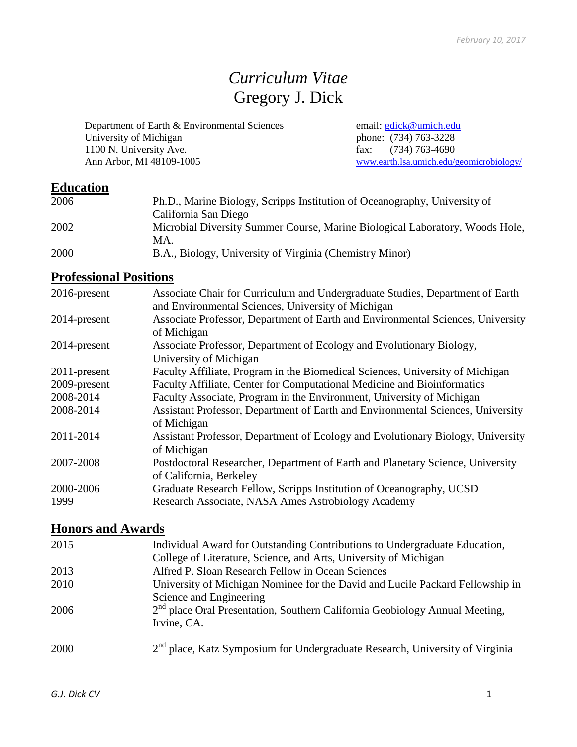# *Curriculum Vitae* Gregory J. Dick

Department of Earth & Environmental Sciences email: [gdick@umich.edu](mailto:gdick@umich.edu) University of Michigan phone: (734) 763-3228<br>1100 N. University Ave. fax: (734) 763-4690 1100 N. University Ave.<br>
Ann Arbor, MI 48109-1005 [www.earth.lsa.umich.edu/geomicrobiology/](http://www.earth.lsa.umich.edu/geomicrobiology/)

## **Education**

| 2006 | Ph.D., Marine Biology, Scripps Institution of Oceanography, University of<br>California San Diego |
|------|---------------------------------------------------------------------------------------------------|
| 2002 | Microbial Diversity Summer Course, Marine Biological Laboratory, Woods Hole,<br>MA.               |
| 2000 | B.A., Biology, University of Virginia (Chemistry Minor)                                           |

# **Professional Positions**

| $2016$ -present | Associate Chair for Curriculum and Undergraduate Studies, Department of Earth<br>and Environmental Sciences, University of Michigan |
|-----------------|-------------------------------------------------------------------------------------------------------------------------------------|
| 2014-present    | Associate Professor, Department of Earth and Environmental Sciences, University<br>of Michigan                                      |
| 2014-present    | Associate Professor, Department of Ecology and Evolutionary Biology,<br>University of Michigan                                      |
| 2011-present    | Faculty Affiliate, Program in the Biomedical Sciences, University of Michigan                                                       |
| 2009-present    | Faculty Affiliate, Center for Computational Medicine and Bioinformatics                                                             |
| 2008-2014       | Faculty Associate, Program in the Environment, University of Michigan                                                               |
| 2008-2014       | Assistant Professor, Department of Earth and Environmental Sciences, University<br>of Michigan                                      |
| 2011-2014       | Assistant Professor, Department of Ecology and Evolutionary Biology, University<br>of Michigan                                      |
| 2007-2008       | Postdoctoral Researcher, Department of Earth and Planetary Science, University<br>of California, Berkeley                           |
| 2000-2006       | Graduate Research Fellow, Scripps Institution of Oceanography, UCSD                                                                 |
| 1999            | Research Associate, NASA Ames Astrobiology Academy                                                                                  |

## **Honors and Awards**

| 2015 | Individual Award for Outstanding Contributions to Undergraduate Education,                                              |
|------|-------------------------------------------------------------------------------------------------------------------------|
|      | College of Literature, Science, and Arts, University of Michigan                                                        |
| 2013 | Alfred P. Sloan Research Fellow in Ocean Sciences                                                                       |
| 2010 | University of Michigan Nominee for the David and Lucile Packard Fellowship in                                           |
| 2006 | Science and Engineering<br>$2nd$ place Oral Presentation, Southern California Geobiology Annual Meeting,<br>Irvine, CA. |
| 2000 | 2 <sup>nd</sup> place, Katz Symposium for Undergraduate Research, University of Virginia                                |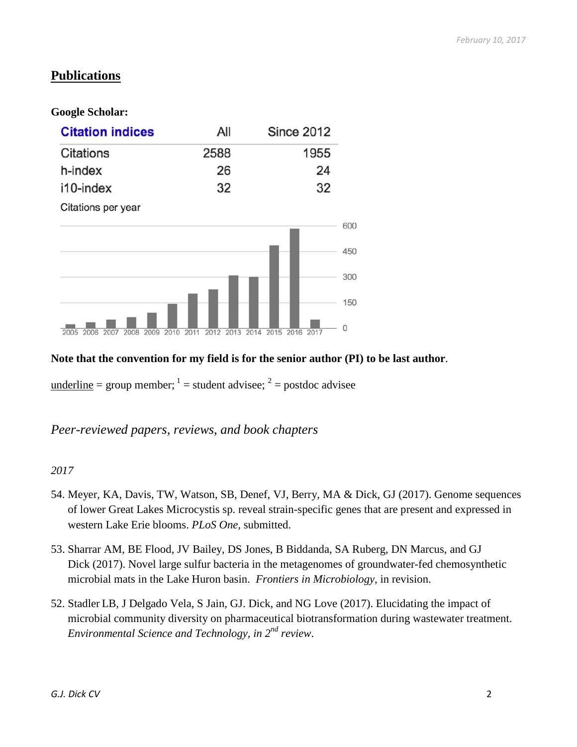## **Publications**

### **Google Scholar:**

| <b>Citation indices</b>              |              |      | All  |      |      |      | <b>Since 2012</b> |            |
|--------------------------------------|--------------|------|------|------|------|------|-------------------|------------|
| <b>Citations</b>                     |              | 2588 |      |      |      |      | 1955              |            |
| h-index                              |              |      | 26   |      |      |      | 24                |            |
| i10-index                            |              |      | 32   |      |      |      | 32                |            |
| Citations per year                   |              |      |      |      |      |      |                   |            |
|                                      |              |      |      |      |      |      |                   | 600<br>450 |
|                                      |              |      |      |      |      |      |                   | 300        |
|                                      |              |      |      |      |      |      |                   | 150        |
| 2005<br>2006<br>2008<br>2007<br>2009 | 2010<br>2011 | 2012 | 2013 | 2014 | 2015 | 2016 | 2017              | 0          |

## **Note that the convention for my field is for the senior author (PI) to be last author**.

underline = group member;  $1 =$  student advisee;  $2 =$  postdoc advisee

*Peer-reviewed papers, reviews, and book chapters*

- 54. Meyer, KA, Davis, TW, Watson, SB, Denef, VJ, Berry, MA & Dick, GJ (2017). Genome sequences of lower Great Lakes Microcystis sp. reveal strain-specific genes that are present and expressed in western Lake Erie blooms. *PLoS One,* submitted.
- 53. Sharrar AM, BE Flood, JV Bailey, DS Jones, B Biddanda, SA Ruberg, DN Marcus, and GJ Dick (2017). Novel large sulfur bacteria in the metagenomes of groundwater-fed chemosynthetic microbial mats in the Lake Huron basin. *Frontiers in Microbiology*, in revision.
- 52. Stadler LB, J Delgado Vela, S Jain, GJ. Dick, and NG Love (2017). Elucidating the impact of microbial community diversity on pharmaceutical biotransformation during wastewater treatment. *Environmental Science and Technology, in 2nd review*.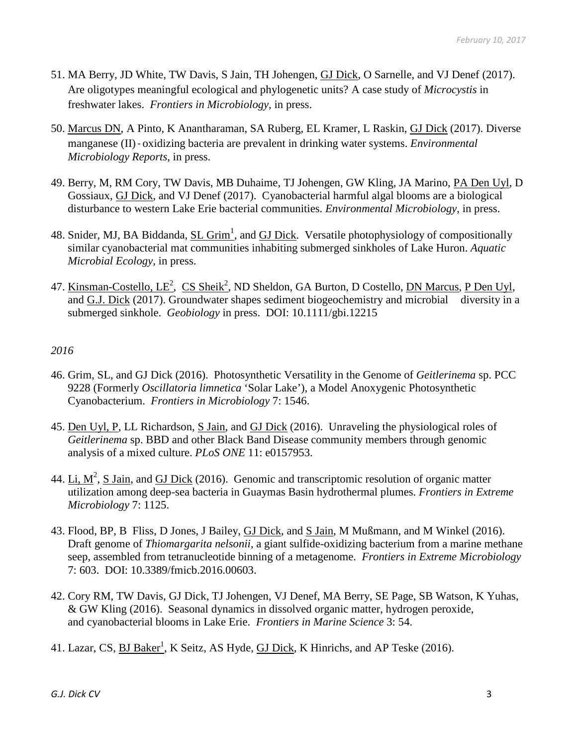- 51. MA Berry, JD White, TW Davis, S Jain, TH Johengen, GJ Dick, O Sarnelle, and VJ Denef (2017). Are oligotypes meaningful ecological and phylogenetic units? A case study of *Microcystis* in freshwater lakes. *Frontiers in Microbiology,* in press.
- 50. Marcus DN, A Pinto, K Anantharaman, SA Ruberg, EL Kramer, L Raskin, GJ Dick (2017). Diverse manganese (II)‐oxidizing bacteria are prevalent in drinking water systems. *Environmental Microbiology Reports*, in press.
- 49. Berry, M, RM Cory, TW Davis, MB Duhaime, TJ Johengen, GW Kling, JA Marino, PA Den Uyl, D Gossiaux, GJ Dick, and VJ Denef (2017). Cyanobacterial harmful algal blooms are a biological disturbance to western Lake Erie bacterial communities. *Environmental Microbiology*, in press.
- 48. Snider, MJ, BA Biddanda, SL Grim<sup>1</sup>, and GJ Dick. Versatile photophysiology of compositionally similar cyanobacterial mat communities inhabiting submerged sinkholes of Lake Huron. *Aquatic Microbial Ecology,* in press.
- 47. Kinsman-Costello, LE<sup>2</sup>, CS Sheik<sup>2</sup>, ND Sheldon, GA Burton, D Costello, <u>DN Marcus, P Den Uyl</u>, and G.J. Dick (2017). Groundwater shapes sediment biogeochemistry and microbial diversity in a submerged sinkhole. *Geobiology* in press. DOI: 10.1111/gbi.12215

- 46. Grim, SL, and GJ Dick (2016). Photosynthetic Versatility in the Genome of *Geitlerinema* sp. PCC 9228 (Formerly *Oscillatoria limnetica* 'Solar Lake'), a Model Anoxygenic Photosynthetic Cyanobacterium. *Frontiers in Microbiology* 7: 1546.
- 45. Den Uyl, P, LL Richardson, S Jain, and GJ Dick (2016). Unraveling the physiological roles of *Geitlerinema* sp. BBD and other Black Band Disease community members through genomic analysis of a mixed culture. *PLoS ONE* 11: e0157953.
- 44. Li,  $M^2$ , S Jain, and GJ Dick (2016). Genomic and transcriptomic resolution of organic matter utilization among deep-sea bacteria in Guaymas Basin hydrothermal plumes. *Frontiers in Extreme Microbiology* 7: 1125.
- 43. Flood, BP, B Fliss, D Jones, J Bailey, GJ Dick, and S Jain, M Mußmann, and M Winkel (2016). Draft genome of *Thiomargarita nelsonii*, a giant sulfide-oxidizing bacterium from a marine methane seep, assembled from tetranucleotide binning of a metagenome. *Frontiers in Extreme Microbiology* 7: 603. DOI: 10.3389/fmicb.2016.00603.
- 42. Cory RM, TW Davis, GJ Dick, TJ Johengen, VJ Denef, MA Berry, SE Page, SB Watson, K Yuhas, & GW Kling (2016). Seasonal dynamics in dissolved organic matter, hydrogen peroxide, and cyanobacterial blooms in Lake Erie. *Frontiers in Marine Science* 3: 54.
- 41. Lazar, CS, <u>BJ Baker<sup>1</sup>,</u> K Seitz, AS Hyde, <u>GJ Dick</u>, K Hinrichs, and AP Teske (2016).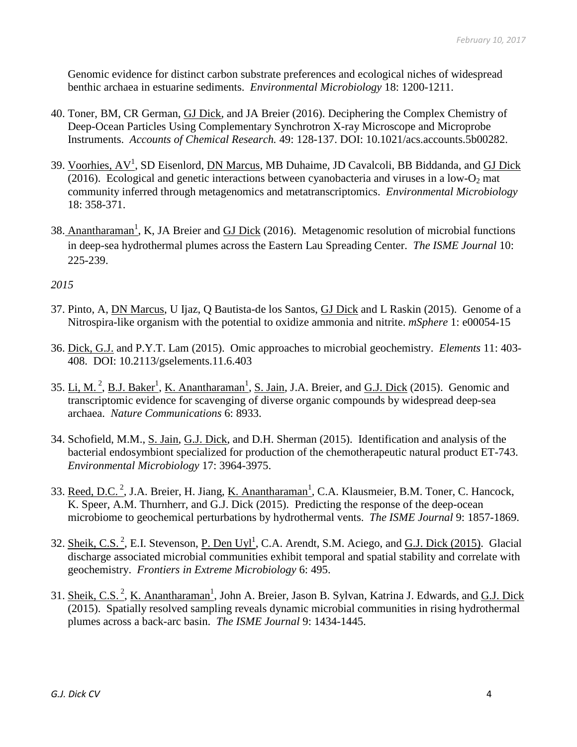Genomic evidence for distinct carbon substrate preferences and ecological niches of widespread benthic archaea in estuarine sediments. *Environmental Microbiology* 18: 1200-1211.

- 40. Toner, BM, CR German, GJ Dick, and JA Breier (2016). Deciphering the Complex Chemistry of Deep-Ocean Particles Using Complementary Synchrotron X-ray Microscope and Microprobe Instruments. *Accounts of Chemical Research.* 49: 128-137. DOI: 10.1021/acs.accounts.5b00282.
- 39. Voorhies, AV<sup>1</sup>, SD Eisenlord, DN Marcus, MB Duhaime, JD Cavalcoli, BB Biddanda, and GJ Dick (2016). Ecological and genetic interactions between cyanobacteria and viruses in a low- $O_2$  mat community inferred through metagenomics and metatranscriptomics. *Environmental Microbiology* 18: 358-371.
- 38. Anantharaman<sup>1</sup>, K, JA Breier and GJ Dick (2016). Metagenomic resolution of microbial functions in deep-sea hydrothermal plumes across the Eastern Lau Spreading Center. *The ISME Journal* 10: 225-239.

- 37. Pinto, A, DN Marcus, U Ijaz, Q Bautista-de los Santos, GJ Dick and L Raskin (2015). Genome of a Nitrospira-like organism with the potential to oxidize ammonia and nitrite. *mSphere* 1: e00054-15
- 36. Dick, G.J. and P.Y.T. Lam (2015). Omic approaches to microbial geochemistry. *Elements* 11: 403- 408. DOI: 10.2113/gselements.11.6.403
- 35. Li, M.<sup>2</sup>, B.J. Baker<sup>1</sup>, K. Anantharaman<sup>1</sup>, S. Jain, J.A. Breier, and G.J. Dick (2015). Genomic and transcriptomic evidence for scavenging of diverse organic compounds by widespread deep-sea archaea. *Nature Communications* 6: 8933.
- 34. Schofield, M.M., S. Jain, G.J. Dick, and D.H. Sherman (2015). Identification and analysis of the bacterial endosymbiont specialized for production of the chemotherapeutic natural product ET-743. *Environmental Microbiology* 17: 3964-3975.
- 33. Reed, D.C.<sup>2</sup>, J.A. Breier, H. Jiang, <u>K. Anantharaman<sup>1</sup></u>, C.A. Klausmeier, B.M. Toner, C. Hancock, K. Speer, A.M. Thurnherr, and G.J. Dick (2015). Predicting the response of the deep-ocean microbiome to geochemical perturbations by hydrothermal vents. *The ISME Journal* 9: 1857-1869.
- 32. Sheik, C.S.<sup>2</sup>, E.I. Stevenson, P. Den Uyl<sup>1</sup>, C.A. Arendt, S.M. Aciego, and G.J. Dick (2015). Glacial discharge associated microbial communities exhibit temporal and spatial stability and correlate with geochemistry. *Frontiers in Extreme Microbiology* 6: 495.
- 31. Sheik, C.S.<sup>2</sup>, K. Anantharaman<sup>1</sup>, John A. Breier, Jason B. Sylvan, Katrina J. Edwards, and <u>G.J. Dick</u> (2015). Spatially resolved sampling reveals dynamic microbial communities in rising hydrothermal plumes across a back-arc basin. *The ISME Journal* 9: 1434-1445.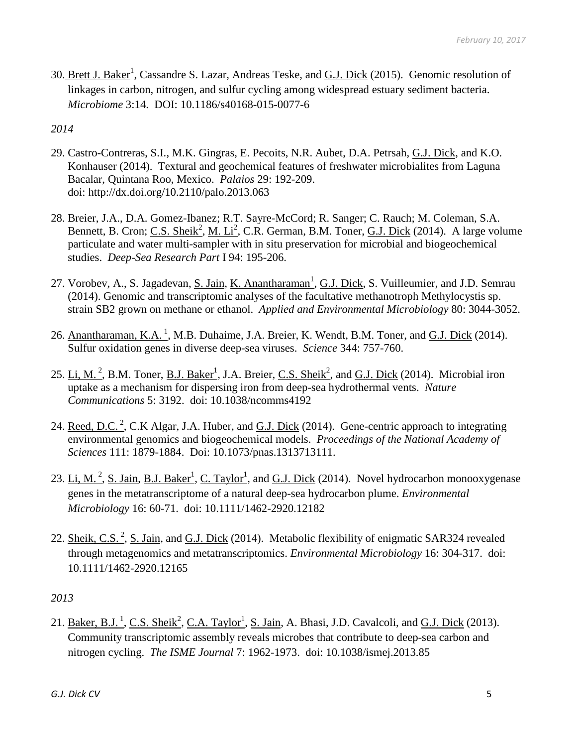30. Brett J. Baker<sup>1</sup>, Cassandre S. Lazar, Andreas Teske, and G.J. Dick (2015). Genomic resolution of linkages in carbon, nitrogen, and sulfur cycling among widespread estuary sediment bacteria. *Microbiome* 3:14. DOI: 10.1186/s40168-015-0077-6

*2014*

- 29. Castro-Contreras, S.I., M.K. Gingras, E. Pecoits, N.R. Aubet, D.A. Petrsah, G.J. Dick, and K.O. Konhauser (2014). Textural and geochemical features of freshwater microbialites from Laguna Bacalar, Quintana Roo, Mexico. *Palaios* 29: 192-209. doi: http://dx.doi.org/10.2110/palo.2013.063
- 28. Breier, J.A., D.A. Gomez-Ibanez; R.T. Sayre-McCord; R. Sanger; C. Rauch; M. Coleman, S.A. Bennett, B. Cron; C.S. Sheik<sup>2</sup>, M. Li<sup>2</sup>, C.R. German, B.M. Toner, G.J. Dick (2014). A large volume particulate and water multi-sampler with in situ preservation for microbial and biogeochemical studies. *Deep-Sea Research Part* I 94: 195-206.
- 27. Vorobev, A., S. Jagadevan, <u>S. Jain, K. Anantharaman<sup>1</sup>, G.J. Dick</u>, S. Vuilleumier, and J.D. Semrau (2014). Genomic and transcriptomic analyses of the facultative methanotroph Methylocystis sp. strain SB2 grown on methane or ethanol. *Applied and Environmental Microbiology* 80: 3044-3052.
- 26. Anantharaman, K.A.<sup>1</sup>, M.B. Duhaime, J.A. Breier, K. Wendt, B.M. Toner, and G.J. Dick (2014). Sulfur oxidation genes in diverse deep-sea viruses. *Science* 344: 757-760.
- 25. Li, M.<sup>2</sup>, B.M. Toner, <u>B.J. Baker<sup>1</sup></u>, J.A. Breier, C.S. Sheik<sup>2</sup>, and G.J. Dick (2014). Microbial iron uptake as a mechanism for dispersing iron from deep-sea hydrothermal vents. *Nature Communications* 5: 3192. doi: 10.1038/ncomms4192
- 24. Reed, D.C.<sup>2</sup>, C.K Algar, J.A. Huber, and G.J. Dick (2014). Gene-centric approach to integrating environmental genomics and biogeochemical models. *Proceedings of the National Academy of Sciences* 111: 1879-1884. Doi: 10.1073/pnas.1313713111.
- 23. Li, M.<sup>2</sup>, S. Jain, B.J. Baker<sup>1</sup>, C. Taylor<sup>1</sup>, and G.J. Dick (2014). Novel hydrocarbon monooxygenase genes in the metatranscriptome of a natural deep-sea hydrocarbon plume. *Environmental Microbiology* 16: 60-71. doi: 10.1111/1462-2920.12182
- 22. Sheik, C.S.<sup>2</sup>, S. Jain, and G.J. Dick (2014). Metabolic flexibility of enigmatic SAR324 revealed through metagenomics and metatranscriptomics. *Environmental Microbiology* 16: 304-317. doi: 10.1111/1462-2920.12165

*2013*

21. <u>Baker, B.J.<sup>1</sup>, C.S. Sheik<sup>2</sup>, C.A. Taylor<sup>1</sup>, S. Jain, A. Bhasi, J.D. Cavalcoli, and G.J. Dick (2013).</u> Community transcriptomic assembly reveals microbes that contribute to deep-sea carbon and nitrogen cycling. *The ISME Journal* 7: 1962-1973. doi: 10.1038/ismej.2013.85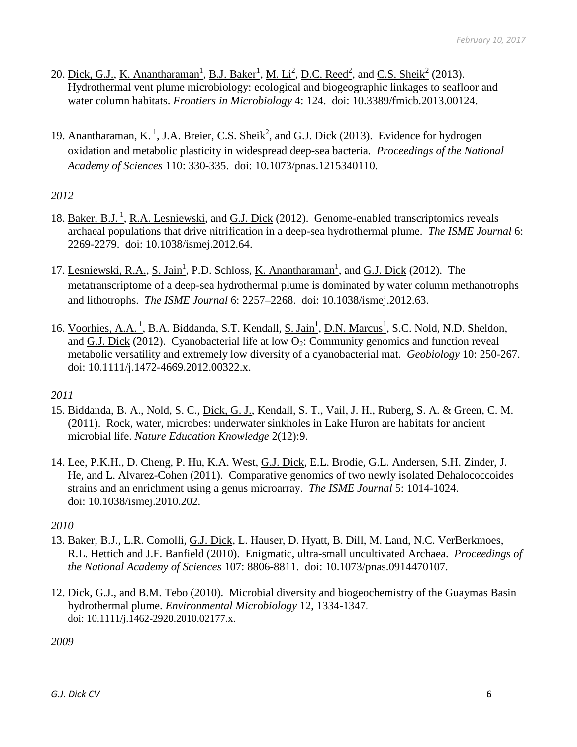- 20. <u>Dick, G.J., K. Anantharaman<sup>1</sup>, B.J. Baker<sup>1</sup>, M. Li<sup>2</sup>, D.C. Reed<sup>2</sup>, and <u>C.S. Sheik<sup>2</sup></u> (2013).</u> Hydrothermal vent plume microbiology: ecological and biogeographic linkages to seafloor and water column habitats. *Frontiers in Microbiology* 4: 124. doi: 10.3389/fmicb.2013.00124.
- 19. Anantharaman, K.<sup>1</sup>, J.A. Breier, C.S. Sheik<sup>2</sup>, and G.J. Dick (2013). Evidence for hydrogen oxidation and metabolic plasticity in widespread deep-sea bacteria. *Proceedings of the National Academy of Sciences* 110: 330-335. doi: 10.1073/pnas.1215340110.

## *2012*

- 18. Baker, B.J.<sup>1</sup>, R.A. Lesniewski, and G.J. Dick (2012). Genome-enabled transcriptomics reveals archaeal populations that drive nitrification in a deep-sea hydrothermal plume. *The ISME Journal* 6: 2269-2279. doi: 10.1038/ismej.2012.64.
- 17. Lesniewski, R.A., S. Jain<sup>1</sup>, P.D. Schloss, <u>K. Anantharaman<sup>1</sup></u>, and G.J. Dick (2012). The metatranscriptome of a deep-sea hydrothermal plume is dominated by water column methanotrophs and lithotrophs. *The ISME Journal* 6: 2257–2268. doi: 10.1038/ismej.2012.63.
- 16. Voorhies, A.A.<sup>1</sup>, B.A. Biddanda, S.T. Kendall, <u>S. Jain<sup>1</sup>, D.N. Marcus<sup>1</sup>, S.C. Nold, N.D. Sheldon</u>, and G.J. Dick (2012). Cyanobacterial life at low  $O_2$ : Community genomics and function reveal metabolic versatility and extremely low diversity of a cyanobacterial mat. *Geobiology* 10: 250-267. doi: 10.1111/j.1472-4669.2012.00322.x.

## *2011*

- 15. Biddanda, B. A., Nold, S. C., Dick, G. J., Kendall, S. T., Vail, J. H., Ruberg, S. A. & Green, C. M. (2011). Rock, water, microbes: underwater sinkholes in Lake Huron are habitats for ancient microbial life. *Nature Education Knowledge* 2(12):9.
- 14. Lee, P.K.H., D. Cheng, P. Hu, K.A. West, G.J. Dick, E.L. Brodie, G.L. Andersen, S.H. Zinder, J. He, and L. Alvarez-Cohen (2011). Comparative genomics of two newly isolated Dehalococcoides strains and an enrichment using a genus microarray. *The ISME Journal* 5: 1014-1024. doi: 10.1038/ismej.2010.202.

## *2010*

- 13. Baker, B.J., L.R. Comolli, G.J. Dick, L. Hauser, D. Hyatt, B. Dill, M. Land, N.C. VerBerkmoes, R.L. Hettich and J.F. Banfield (2010). Enigmatic, ultra-small uncultivated Archaea. *Proceedings of the National Academy of Sciences* 107: 8806-8811. doi: 10.1073/pnas.0914470107.
- 12. Dick, G.J., and B.M. Tebo (2010). Microbial diversity and biogeochemistry of the Guaymas Basin hydrothermal plume. *Environmental Microbiology* 12, 1334-1347. doi: 10.1111/j.1462-2920.2010.02177.x.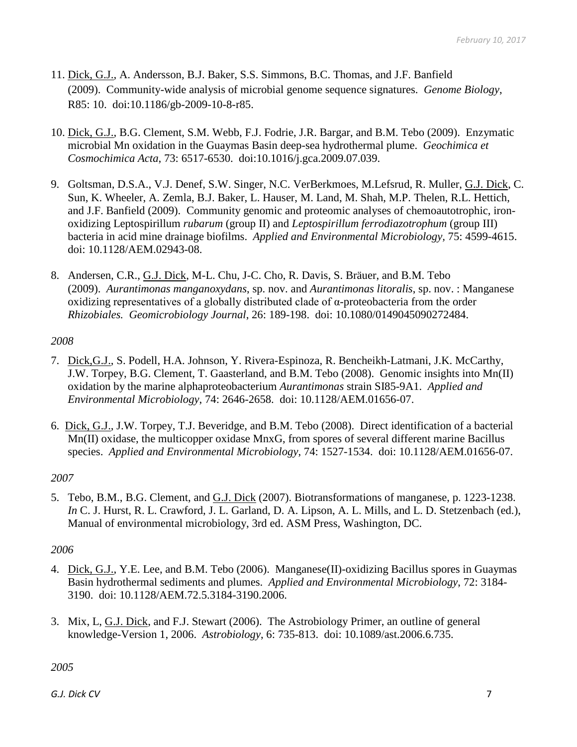- 11. Dick, G.J., A. Andersson, B.J. Baker, S.S. Simmons, B.C. Thomas, and J.F. Banfield (2009). Community-wide analysis of microbial genome sequence signatures. *Genome Biology*, R85: 10. doi:10.1186/gb-2009-10-8-r85.
- 10. Dick, G.J., B.G. Clement, S.M. Webb, F.J. Fodrie, J.R. Bargar, and B.M. Tebo (2009). Enzymatic microbial Mn oxidation in the Guaymas Basin deep-sea hydrothermal plume. *Geochimica et Cosmochimica Acta*, 73: 6517-6530. doi:10.1016/j.gca.2009.07.039.
- 9. Goltsman, D.S.A., V.J. Denef, S.W. Singer, N.C. VerBerkmoes, M.Lefsrud, R. Muller, G.J. Dick, C. Sun, K. Wheeler, A. Zemla, B.J. Baker, L. Hauser, M. Land, M. Shah, M.P. Thelen, R.L. Hettich, and J.F. Banfield (2009). Community genomic and proteomic analyses of chemoautotrophic, ironoxidizing Leptospirillum *rubarum* (group II) and *Leptospirillum ferrodiazotrophum* (group III) bacteria in acid mine drainage biofilms. *Applied and Environmental Microbiology,* 75: 4599-4615. doi: 10.1128/AEM.02943-08.
- 8. Andersen, C.R., G.J. Dick, M-L. Chu, J-C. Cho, R. Davis, S. Bräuer, and B.M. Tebo (2009). *Aurantimonas manganoxydans*, sp. nov. and *Aurantimonas litoralis*, sp. nov. : Manganese oxidizing representatives of a globally distributed clade of α-proteobacteria from the order *Rhizobiales. Geomicrobiology Journal*, 26: 189-198. doi: 10.1080/0149045090272484.

## *2008*

- 7. Dick,G.J., S. Podell, H.A. Johnson, Y. Rivera-Espinoza, R. Bencheikh-Latmani, J.K. McCarthy, J.W. Torpey, B.G. Clement, T. Gaasterland, and B.M. Tebo (2008). Genomic insights into Mn(II) oxidation by the marine alphaproteobacterium *Aurantimonas* strain SI85-9A1. *Applied and Environmental Microbiology*, 74: 2646-2658. doi: 10.1128/AEM.01656-07.
- 6. Dick, G.J., J.W. Torpey, T.J. Beveridge, and B.M. Tebo (2008). Direct identification of a bacterial Mn(II) oxidase, the multicopper oxidase MnxG, from spores of several different marine Bacillus species. *Applied and Environmental Microbiology*, 74: 1527-1534. doi: 10.1128/AEM.01656-07.

## *2007*

5. Tebo, B.M., B.G. Clement, and G.J. Dick (2007). Biotransformations of manganese, p. 1223-1238. *In* C. J. Hurst, R. L. Crawford, J. L. Garland, D. A. Lipson, A. L. Mills, and L. D. Stetzenbach (ed.), Manual of environmental microbiology, 3rd ed. ASM Press, Washington, DC.

## *2006*

- 4. Dick, G.J., Y.E. Lee, and B.M. Tebo (2006). Manganese(II)-oxidizing Bacillus spores in Guaymas Basin hydrothermal sediments and plumes. *Applied and Environmental Microbiology*, 72: 3184- 3190. doi: 10.1128/AEM.72.5.3184-3190.2006.
- 3. Mix, L, G.J. Dick, and F.J. Stewart (2006). The Astrobiology Primer, an outline of general knowledge-Version 1, 2006. *Astrobiology*, 6: 735-813. doi: 10.1089/ast.2006.6.735.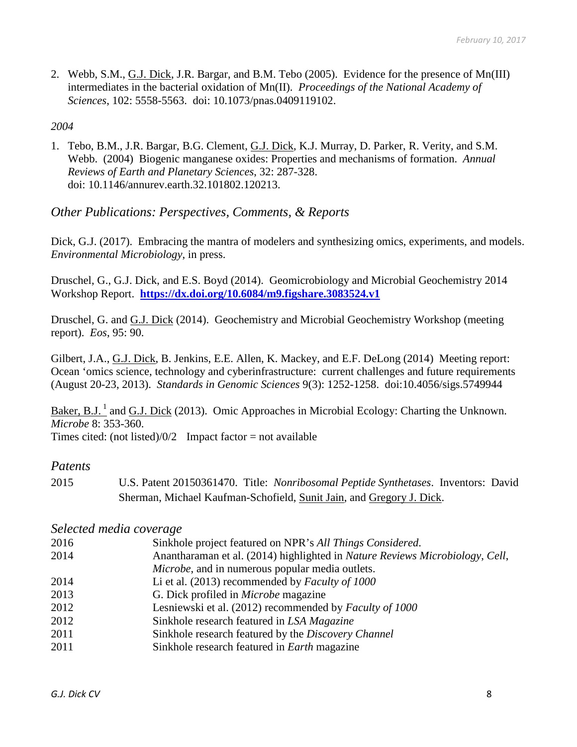2. Webb, S.M., G.J. Dick, J.R. Bargar, and B.M. Tebo (2005). Evidence for the presence of Mn(III) intermediates in the bacterial oxidation of Mn(II). *Proceedings of the National Academy of Sciences*, 102: 5558-5563. doi: 10.1073/pnas.0409119102.

#### *2004*

1. Tebo, B.M., J.R. Bargar, B.G. Clement, G.J. Dick, K.J. Murray, D. Parker, R. Verity, and S.M. Webb. (2004) Biogenic manganese oxides: Properties and mechanisms of formation. *Annual Reviews of Earth and Planetary Sciences*, 32: 287-328. doi: 10.1146/annurev.earth.32.101802.120213.

## *Other Publications: Perspectives, Comments, & Reports*

Dick, G.J. (2017). Embracing the mantra of modelers and synthesizing omics, experiments, and models. *Environmental Microbiology*, in press.

Druschel, G., G.J. Dick, and E.S. Boyd (2014). Geomicrobiology and Microbial Geochemistry 2014 Workshop Report. **<https://dx.doi.org/10.6084/m9.figshare.3083524.v1>**

Druschel, G. and G.J. Dick (2014). Geochemistry and Microbial Geochemistry Workshop (meeting report). *Eos*, 95: 90.

Gilbert, J.A., G.J. Dick, B. Jenkins, E.E. Allen, K. Mackey, and E.F. DeLong (2014) Meeting report: Ocean 'omics science, technology and cyberinfrastructure: current challenges and future requirements (August 20-23, 2013). *Standards in Genomic Sciences* 9(3): 1252-1258. doi:10.4056/sigs.5749944

Baker, B.J.<sup>1</sup> and G.J. Dick (2013). Omic Approaches in Microbial Ecology: Charting the Unknown. *Microbe* 8: 353-360.

Times cited: (not listed)/0/2 Impact factor = not available

#### *Patents*

2015 U.S. Patent 20150361470. Title: *Nonribosomal Peptide Synthetases*. Inventors: David Sherman, Michael Kaufman-Schofield, Sunit Jain, and Gregory J. Dick.

#### *Selected media coverage*

 Sinkhole project featured on NPR's *All Things Considered*. Anantharaman et al. (2014) highlighted in *Nature Reviews Microbiology*, *Cell*, *Microbe*, and in numerous popular media outlets. Li et al. (2013) recommended by *Faculty of 1000* G. Dick profiled in *Microbe* magazine Lesniewski et al. (2012) recommended by *Faculty of 1000* Sinkhole research featured in *LSA Magazine* Sinkhole research featured by the *Discovery Channel* Sinkhole research featured in *Earth* magazine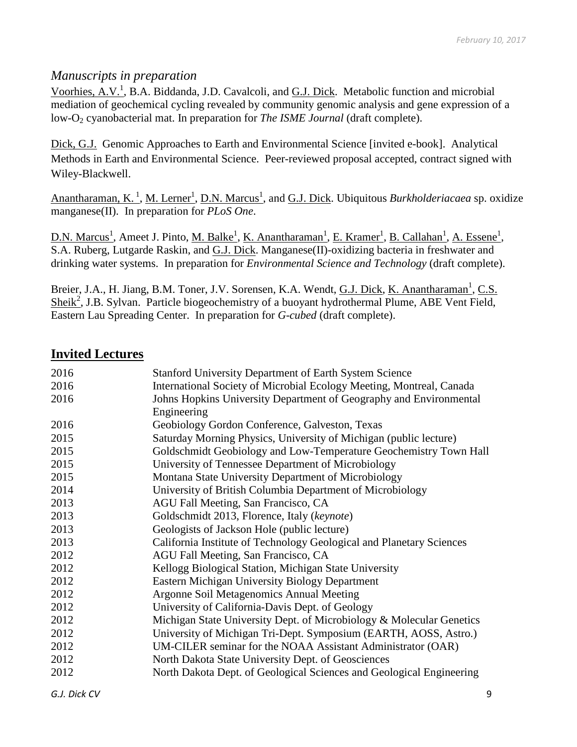## *Manuscripts in preparation*

Voorhies, A.V.<sup>1</sup>, B.A. Biddanda, J.D. Cavalcoli, and **G.J. Dick**. Metabolic function and microbial mediation of geochemical cycling revealed by community genomic analysis and gene expression of a low-O2 cyanobacterial mat. In preparation for *The ISME Journal* (draft complete).

Dick, G.J. Genomic Approaches to Earth and Environmental Science [invited e-book]. Analytical Methods in Earth and Environmental Science. Peer-reviewed proposal accepted, contract signed with Wiley-Blackwell.

Anantharaman, K.<sup>1</sup>, M. Lerner<sup>1</sup>, D.N. Marcus<sup>1</sup>, and G.J. Dick. Ubiquitous *Burkholderiacaea* sp. oxidize manganese(II). In preparation for *PLoS One*.

D.N. Marcus<sup>1</sup>, Ameet J. Pinto, <u>M. Balke<sup>1</sup>, K. Anantharaman<sup>1</sup>, E. Kramer<sup>1</sup>, B. Callahan<sup>1</sup>, A. Essene<sup>1</sup>,</u> S.A. Ruberg, Lutgarde Raskin, and G.J. Dick. Manganese(II)-oxidizing bacteria in freshwater and drinking water systems. In preparation for *Environmental Science and Technology* (draft complete).

Breier, J.A., H. Jiang, B.M. Toner, J.V. Sorensen, K.A. Wendt, G.J. Dick, K. Anantharaman<sup>1</sup>, C.S. Sheik<sup>2</sup>, J.B. Sylvan. Particle biogeochemistry of a buoyant hydrothermal Plume, ABE Vent Field, Eastern Lau Spreading Center. In preparation for *G-cubed* (draft complete).

## **Invited Lectures**

| 2016 | <b>Stanford University Department of Earth System Science</b>        |
|------|----------------------------------------------------------------------|
| 2016 | International Society of Microbial Ecology Meeting, Montreal, Canada |
| 2016 | Johns Hopkins University Department of Geography and Environmental   |
|      | Engineering                                                          |
| 2016 | Geobiology Gordon Conference, Galveston, Texas                       |
| 2015 | Saturday Morning Physics, University of Michigan (public lecture)    |
| 2015 | Goldschmidt Geobiology and Low-Temperature Geochemistry Town Hall    |
| 2015 | University of Tennessee Department of Microbiology                   |
| 2015 | Montana State University Department of Microbiology                  |
| 2014 | University of British Columbia Department of Microbiology            |
| 2013 | AGU Fall Meeting, San Francisco, CA                                  |
| 2013 | Goldschmidt 2013, Florence, Italy (keynote)                          |
| 2013 | Geologists of Jackson Hole (public lecture)                          |
| 2013 | California Institute of Technology Geological and Planetary Sciences |
| 2012 | AGU Fall Meeting, San Francisco, CA                                  |
| 2012 | Kellogg Biological Station, Michigan State University                |
| 2012 | <b>Eastern Michigan University Biology Department</b>                |
| 2012 | Argonne Soil Metagenomics Annual Meeting                             |
| 2012 | University of California-Davis Dept. of Geology                      |
| 2012 | Michigan State University Dept. of Microbiology & Molecular Genetics |
| 2012 | University of Michigan Tri-Dept. Symposium (EARTH, AOSS, Astro.)     |
| 2012 | UM-CILER seminar for the NOAA Assistant Administrator (OAR)          |
| 2012 | North Dakota State University Dept. of Geosciences                   |
| 2012 | North Dakota Dept. of Geological Sciences and Geological Engineering |
|      |                                                                      |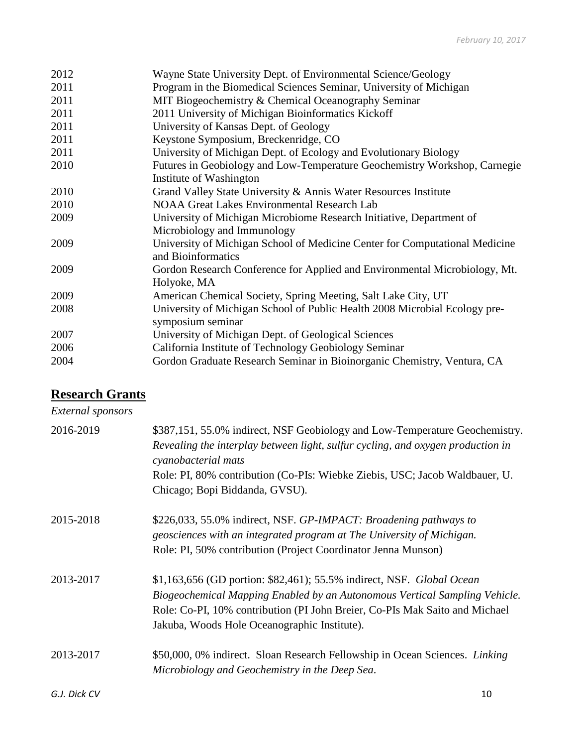| 2012 | Wayne State University Dept. of Environmental Science/Geology               |
|------|-----------------------------------------------------------------------------|
| 2011 | Program in the Biomedical Sciences Seminar, University of Michigan          |
| 2011 | MIT Biogeochemistry & Chemical Oceanography Seminar                         |
| 2011 | 2011 University of Michigan Bioinformatics Kickoff                          |
| 2011 | University of Kansas Dept. of Geology                                       |
| 2011 | Keystone Symposium, Breckenridge, CO                                        |
| 2011 | University of Michigan Dept. of Ecology and Evolutionary Biology            |
| 2010 | Futures in Geobiology and Low-Temperature Geochemistry Workshop, Carnegie   |
|      | Institute of Washington                                                     |
| 2010 | Grand Valley State University & Annis Water Resources Institute             |
| 2010 | <b>NOAA Great Lakes Environmental Research Lab</b>                          |
| 2009 | University of Michigan Microbiome Research Initiative, Department of        |
|      | Microbiology and Immunology                                                 |
| 2009 | University of Michigan School of Medicine Center for Computational Medicine |
|      | and Bioinformatics                                                          |
| 2009 | Gordon Research Conference for Applied and Environmental Microbiology, Mt.  |
|      | Holyoke, MA                                                                 |
| 2009 | American Chemical Society, Spring Meeting, Salt Lake City, UT               |
| 2008 | University of Michigan School of Public Health 2008 Microbial Ecology pre-  |
|      | symposium seminar                                                           |
| 2007 | University of Michigan Dept. of Geological Sciences                         |
| 2006 | California Institute of Technology Geobiology Seminar                       |
| 2004 | Gordon Graduate Research Seminar in Bioinorganic Chemistry, Ventura, CA     |
|      |                                                                             |

# **Research Grants**

# *External sponsors*

| 2016-2019    | \$387,151, 55.0% indirect, NSF Geobiology and Low-Temperature Geochemistry.<br>Revealing the interplay between light, sulfur cycling, and oxygen production in<br>cyanobacterial mats<br>Role: PI, 80% contribution (Co-PIs: Wiebke Ziebis, USC; Jacob Waldbauer, U.               |
|--------------|------------------------------------------------------------------------------------------------------------------------------------------------------------------------------------------------------------------------------------------------------------------------------------|
|              | Chicago; Bopi Biddanda, GVSU).                                                                                                                                                                                                                                                     |
| 2015-2018    | \$226,033, 55.0% indirect, NSF. GP-IMPACT: Broadening pathways to<br>geosciences with an integrated program at The University of Michigan.<br>Role: PI, 50% contribution (Project Coordinator Jenna Munson)                                                                        |
| 2013-2017    | \$1,163,656 (GD portion: \$82,461); 55.5% indirect, NSF. Global Ocean<br>Biogeochemical Mapping Enabled by an Autonomous Vertical Sampling Vehicle.<br>Role: Co-PI, 10% contribution (PI John Breier, Co-PIs Mak Saito and Michael<br>Jakuba, Woods Hole Oceanographic Institute). |
| 2013-2017    | \$50,000, 0% indirect. Sloan Research Fellowship in Ocean Sciences. Linking<br>Microbiology and Geochemistry in the Deep Sea.                                                                                                                                                      |
| G.J. Dick CV | 10                                                                                                                                                                                                                                                                                 |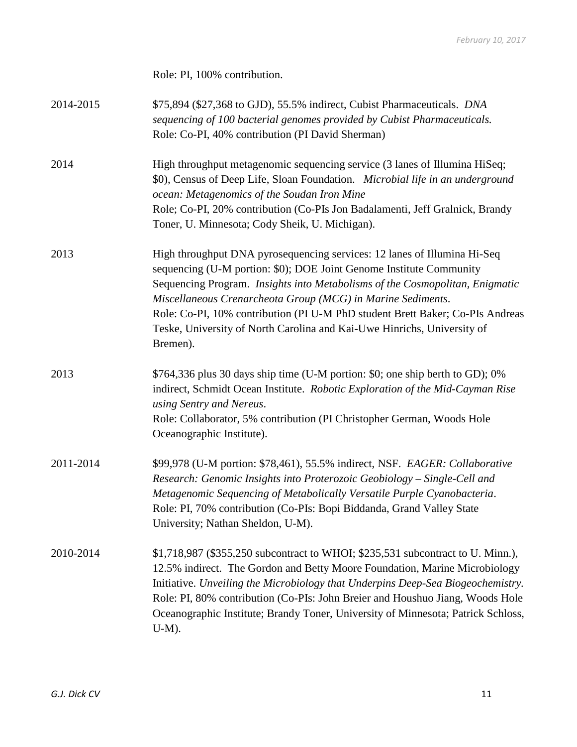Role: PI, 100% contribution.

| 2014-2015 | \$75,894 (\$27,368 to GJD), 55.5% indirect, Cubist Pharmaceuticals. DNA<br>sequencing of 100 bacterial genomes provided by Cubist Pharmaceuticals.<br>Role: Co-PI, 40% contribution (PI David Sherman)                                                                                                                                                                                                                                                                 |
|-----------|------------------------------------------------------------------------------------------------------------------------------------------------------------------------------------------------------------------------------------------------------------------------------------------------------------------------------------------------------------------------------------------------------------------------------------------------------------------------|
| 2014      | High throughput metagenomic sequencing service (3 lanes of Illumina HiSeq;<br>\$0), Census of Deep Life, Sloan Foundation. Microbial life in an underground<br>ocean: Metagenomics of the Soudan Iron Mine<br>Role; Co-PI, 20% contribution (Co-PIs Jon Badalamenti, Jeff Gralnick, Brandy<br>Toner, U. Minnesota; Cody Sheik, U. Michigan).                                                                                                                           |
| 2013      | High throughput DNA pyrosequencing services: 12 lanes of Illumina Hi-Seq<br>sequencing (U-M portion: \$0); DOE Joint Genome Institute Community<br>Sequencing Program. Insights into Metabolisms of the Cosmopolitan, Enigmatic<br>Miscellaneous Crenarcheota Group (MCG) in Marine Sediments.<br>Role: Co-PI, 10% contribution (PI U-M PhD student Brett Baker; Co-PIs Andreas<br>Teske, University of North Carolina and Kai-Uwe Hinrichs, University of<br>Bremen). |
| 2013      | \$764,336 plus 30 days ship time (U-M portion: \$0; one ship berth to GD); 0%<br>indirect, Schmidt Ocean Institute. Robotic Exploration of the Mid-Cayman Rise<br>using Sentry and Nereus.<br>Role: Collaborator, 5% contribution (PI Christopher German, Woods Hole<br>Oceanographic Institute).                                                                                                                                                                      |
| 2011-2014 | \$99,978 (U-M portion: \$78,461), 55.5% indirect, NSF. EAGER: Collaborative<br>Research: Genomic Insights into Proterozoic Geobiology - Single-Cell and<br>Metagenomic Sequencing of Metabolically Versatile Purple Cyanobacteria.<br>Role: PI, 70% contribution (Co-PIs: Bopi Biddanda, Grand Valley State<br>University; Nathan Sheldon, U-M).                                                                                                                       |
| 2010-2014 | \$1,718,987 (\$355,250 subcontract to WHOI; \$235,531 subcontract to U. Minn.),<br>12.5% indirect. The Gordon and Betty Moore Foundation, Marine Microbiology<br>Initiative. Unveiling the Microbiology that Underpins Deep-Sea Biogeochemistry.<br>Role: PI, 80% contribution (Co-PIs: John Breier and Houshuo Jiang, Woods Hole<br>Oceanographic Institute; Brandy Toner, University of Minnesota; Patrick Schloss,<br>$U-M$ ).                                      |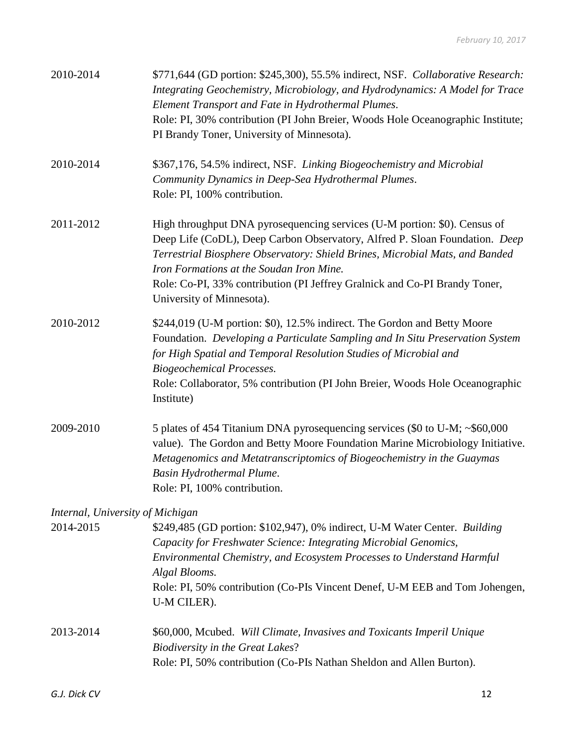| 2010-2014                        | \$771,644 (GD portion: \$245,300), 55.5% indirect, NSF. Collaborative Research:<br>Integrating Geochemistry, Microbiology, and Hydrodynamics: A Model for Trace<br>Element Transport and Fate in Hydrothermal Plumes.<br>Role: PI, 30% contribution (PI John Breier, Woods Hole Oceanographic Institute;<br>PI Brandy Toner, University of Minnesota).                                          |
|----------------------------------|-------------------------------------------------------------------------------------------------------------------------------------------------------------------------------------------------------------------------------------------------------------------------------------------------------------------------------------------------------------------------------------------------|
| 2010-2014                        | \$367,176, 54.5% indirect, NSF. Linking Biogeochemistry and Microbial<br>Community Dynamics in Deep-Sea Hydrothermal Plumes.<br>Role: PI, 100% contribution.                                                                                                                                                                                                                                    |
| 2011-2012                        | High throughput DNA pyrosequencing services (U-M portion: \$0). Census of<br>Deep Life (CoDL), Deep Carbon Observatory, Alfred P. Sloan Foundation. Deep<br>Terrestrial Biosphere Observatory: Shield Brines, Microbial Mats, and Banded<br>Iron Formations at the Soudan Iron Mine.<br>Role: Co-PI, 33% contribution (PI Jeffrey Gralnick and Co-PI Brandy Toner,<br>University of Minnesota). |
| 2010-2012                        | \$244,019 (U-M portion: \$0), 12.5% indirect. The Gordon and Betty Moore<br>Foundation. Developing a Particulate Sampling and In Situ Preservation System<br>for High Spatial and Temporal Resolution Studies of Microbial and<br><b>Biogeochemical Processes.</b><br>Role: Collaborator, 5% contribution (PI John Breier, Woods Hole Oceanographic<br>Institute)                               |
| 2009-2010                        | 5 plates of 454 Titanium DNA pyrosequencing services (\$0 to U-M; ~\$60,000<br>value). The Gordon and Betty Moore Foundation Marine Microbiology Initiative.<br>Metagenomics and Metatranscriptomics of Biogeochemistry in the Guaymas<br>Basin Hydrothermal Plume.<br>Role: PI, 100% contribution.                                                                                             |
| Internal, University of Michigan |                                                                                                                                                                                                                                                                                                                                                                                                 |
| 2014-2015                        | \$249,485 (GD portion: \$102,947), 0% indirect, U-M Water Center. Building<br>Capacity for Freshwater Science: Integrating Microbial Genomics,<br>Environmental Chemistry, and Ecosystem Processes to Understand Harmful<br>Algal Blooms.<br>Role: PI, 50% contribution (Co-PIs Vincent Denef, U-M EEB and Tom Johengen,<br>U-M CILER).                                                         |
| 2013-2014                        | \$60,000, Mcubed. Will Climate, Invasives and Toxicants Imperil Unique<br><b>Biodiversity in the Great Lakes?</b><br>Role: PI, 50% contribution (Co-PIs Nathan Sheldon and Allen Burton).                                                                                                                                                                                                       |
| G.J. Dick CV                     | 12                                                                                                                                                                                                                                                                                                                                                                                              |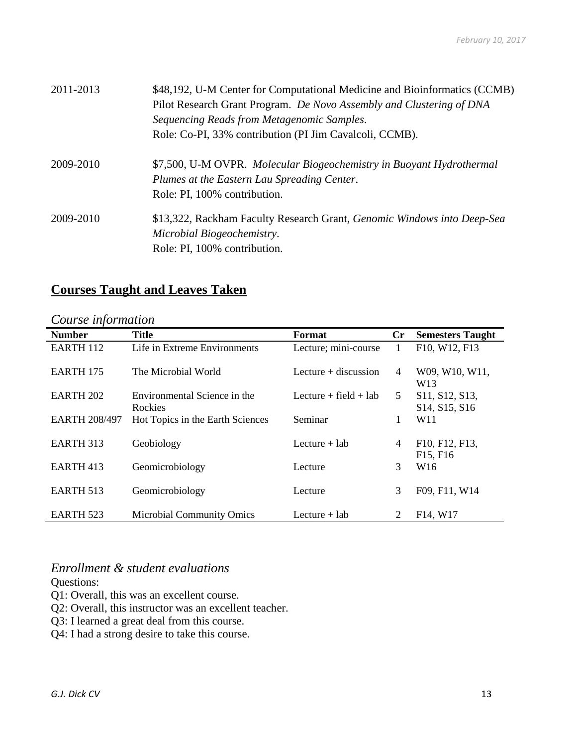| 2011-2013 | \$48,192, U-M Center for Computational Medicine and Bioinformatics (CCMB) |
|-----------|---------------------------------------------------------------------------|
|           | Pilot Research Grant Program. De Novo Assembly and Clustering of DNA      |
|           | Sequencing Reads from Metagenomic Samples.                                |
|           | Role: Co-PI, 33% contribution (PI Jim Cavalcoli, CCMB).                   |
| 2009-2010 | \$7,500, U-M OVPR. Molecular Biogeochemistry in Buoyant Hydrothermal      |
|           | Plumes at the Eastern Lau Spreading Center.                               |
|           | Role: PI, 100% contribution.                                              |
| 2009-2010 | \$13,322, Rackham Faculty Research Grant, Genomic Windows into Deep-Sea   |
|           | Microbial Biogeochemistry.                                                |
|           | Role: PI, 100% contribution.                                              |

# **Courses Taught and Leaves Taken**

## *Course information*

| <b>Number</b>        | <b>Title</b>                            | Format                    | Cr             | <b>Semesters Taught</b>                                               |
|----------------------|-----------------------------------------|---------------------------|----------------|-----------------------------------------------------------------------|
| <b>EARTH 112</b>     | Life in Extreme Environments            | Lecture; mini-course      | $\mathbf{1}$   | F10, W12, F13                                                         |
| <b>EARTH 175</b>     | The Microbial World                     | Lecture $+$ discussion    | $\overline{4}$ | W09, W10, W11,<br>W <sub>13</sub>                                     |
| <b>EARTH 202</b>     | Environmental Science in the<br>Rockies | Lecture $+$ field $+$ lab | 5              | S11, S12, S13,<br>S <sub>14</sub> , S <sub>15</sub> , S <sub>16</sub> |
| <b>EARTH 208/497</b> | Hot Topics in the Earth Sciences        | Seminar                   | 1              | W11                                                                   |
| EARTH 313            | Geobiology                              | Lecture $+$ lab           | 4              | F10, F12, F13,<br>F <sub>15</sub> , F <sub>16</sub>                   |
| EARTH 413            | Geomicrobiology                         | Lecture                   | 3              | W <sub>16</sub>                                                       |
| EARTH 513            | Geomicrobiology                         | Lecture                   | 3              | F09, F11, W14                                                         |
| <b>EARTH 523</b>     | <b>Microbial Community Omics</b>        | Lecture $+$ lab           | 2              | F <sub>14</sub> , W <sub>17</sub>                                     |

## *Enrollment & student evaluations*

Questions:

- Q1: Overall, this was an excellent course.
- Q2: Overall, this instructor was an excellent teacher.
- Q3: I learned a great deal from this course.
- Q4: I had a strong desire to take this course.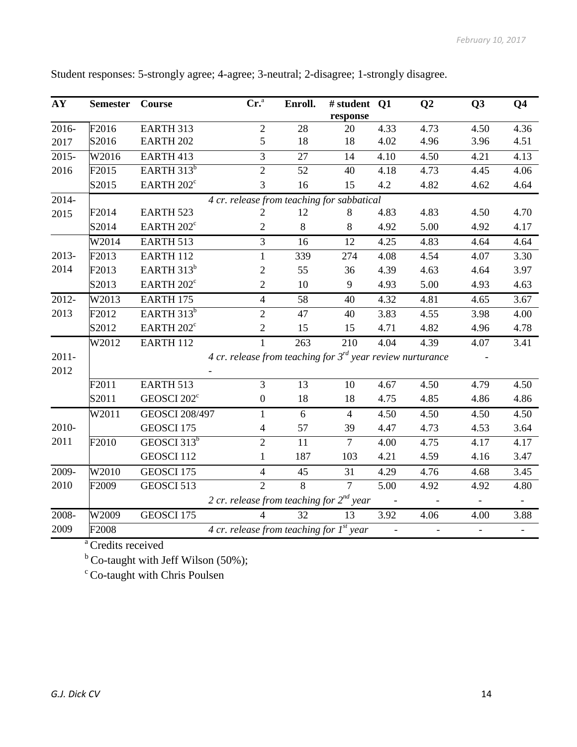| AY       | <b>Semester</b>                            | Course                  | Cr <sup>a</sup>                                                 | Enroll.        | # student Q1   |      | Q <sub>2</sub>    | Q <sub>3</sub>           | Q <sub>4</sub>           |  |
|----------|--------------------------------------------|-------------------------|-----------------------------------------------------------------|----------------|----------------|------|-------------------|--------------------------|--------------------------|--|
|          |                                            |                         |                                                                 |                | response       |      |                   |                          |                          |  |
| 2016-    | F2016                                      | EARTH 313               | $\overline{2}$                                                  | 28             | 20             | 4.33 | 4.73              | 4.50                     | 4.36                     |  |
| 2017     | S2016                                      | EARTH <sub>202</sub>    | 5                                                               | 18             | 18             | 4.02 | 4.96              | 3.96                     | 4.51                     |  |
| $2015 -$ | W2016                                      | EARTH 413               | $\mathfrak{Z}$                                                  | 27             | 14             | 4.10 | 4.50              | 4.21                     | 4.13                     |  |
| 2016     | F2015                                      | EARTH 313 <sup>b</sup>  | $\overline{2}$                                                  | 52             | 40             | 4.18 | 4.73              | 4.45                     | 4.06                     |  |
|          | S2015                                      | EARTH $202^{\circ}$     | 3                                                               | 16             | 15             | 4.2  | 4.82              | 4.62                     | 4.64                     |  |
| 2014-    | 4 cr. release from teaching for sabbatical |                         |                                                                 |                |                |      |                   |                          |                          |  |
| 2015     | F2014                                      | <b>EARTH 523</b>        | 2                                                               | 12             | 8              | 4.83 | 4.83              | 4.50                     | 4.70                     |  |
|          | S2014                                      | EARTH 202 <sup>c</sup>  | $\mathbf{2}$                                                    | 8              | $8\,$          | 4.92 | 5.00              | 4.92                     | 4.17                     |  |
|          | W2014                                      | EARTH 513               | 3                                                               | 16             | 12             | 4.25 | 4.83              | 4.64                     | 4.64                     |  |
| 2013-    | F2013                                      | EARTH 112               | 1                                                               | 339            | 274            | 4.08 | 4.54              | 4.07                     | 3.30                     |  |
| 2014     | F2013                                      | EARTH 313 <sup>b</sup>  | $\mathfrak{2}$                                                  | 55             | 36             | 4.39 | 4.63              | 4.64                     | 3.97                     |  |
|          | S2013                                      | EARTH 202 <sup>c</sup>  | $\overline{2}$                                                  | 10             | 9              | 4.93 | 5.00              | 4.93                     | 4.63                     |  |
| 2012-    | W2013                                      | <b>EARTH 175</b>        | $\overline{4}$                                                  | 58             | 40             | 4.32 | 4.81              | 4.65                     | 3.67                     |  |
| 2013     | F2012                                      | EARTH $313^b$           | $\overline{2}$                                                  | 47             | 40             | 3.83 | 4.55              | 3.98                     | 4.00                     |  |
|          | S2012                                      | EARTH 202 <sup>c</sup>  | $\sqrt{2}$                                                      | 15             | 15             | 4.71 | 4.82              | 4.96                     | 4.78                     |  |
|          | W2012                                      | EARTH 112               | $\mathbf{1}$                                                    | 263            | 210            | 4.04 | $\overline{4.39}$ | 4.07                     | 3.41                     |  |
| $2011 -$ |                                            |                         | 4 cr. release from teaching for $3^{rd}$ year review nurturance |                |                |      |                   |                          |                          |  |
| 2012     |                                            |                         |                                                                 |                |                |      |                   |                          |                          |  |
|          | F2011                                      | EARTH 513               | 3                                                               | 13             | 10             | 4.67 | 4.50              | 4.79                     | 4.50                     |  |
|          | S2011                                      | GEOSCI 202 <sup>c</sup> | $\boldsymbol{0}$                                                | 18             | 18             | 4.75 | 4.85              | 4.86                     | 4.86                     |  |
|          | W2011                                      | <b>GEOSCI 208/497</b>   | $\mathbf{1}$                                                    | 6              | $\overline{4}$ | 4.50 | 4.50              | 4.50                     | 4.50                     |  |
| 2010-    |                                            | GEOSCI 175              | $\overline{4}$                                                  | 57             | 39             | 4.47 | 4.73              | 4.53                     | 3.64                     |  |
| 2011     | F2010                                      | GEOSCI 313 <sup>b</sup> | $\overline{2}$                                                  | 11             | $\overline{7}$ | 4.00 | 4.75              | 4.17                     | 4.17                     |  |
|          |                                            | GEOSCI 112              | $\mathbf{1}$                                                    | 187            | 103            | 4.21 | 4.59              | 4.16                     | 3.47                     |  |
| 2009-    | W2010                                      | GEOSCI 175              | $\overline{4}$                                                  | 45             | 31             | 4.29 | 4.76              | 4.68                     | 3.45                     |  |
| 2010     | F2009                                      | GEOSCI 513              | $\overline{2}$                                                  | $\overline{8}$ | $\overline{7}$ | 5.00 | 4.92              | 4.92                     | 4.80                     |  |
|          |                                            |                         | 2 cr. release from teaching for $2^{nd}$ year                   |                |                |      |                   | $\blacksquare$           | $\overline{\phantom{0}}$ |  |
| 2008-    | W2009                                      | GEOSCI 175              | $\overline{\mathcal{A}}$                                        | 32             | 13             | 3.92 | 4.06              | 4.00                     | 3.88                     |  |
| 2009     | F2008                                      |                         | 4 cr. release from teaching for $I^{st}$ year                   |                |                |      |                   | $\overline{\phantom{a}}$ |                          |  |
|          |                                            |                         |                                                                 |                |                |      |                   |                          |                          |  |

Student responses: 5-strongly agree; 4-agree; 3-neutral; 2-disagree; 1-strongly disagree.

<sup>a</sup> Credits received<br> $\frac{b}{c}$  Co-taught with Jeff Wilson (50%);

 $\degree$  Co-taught with Chris Poulsen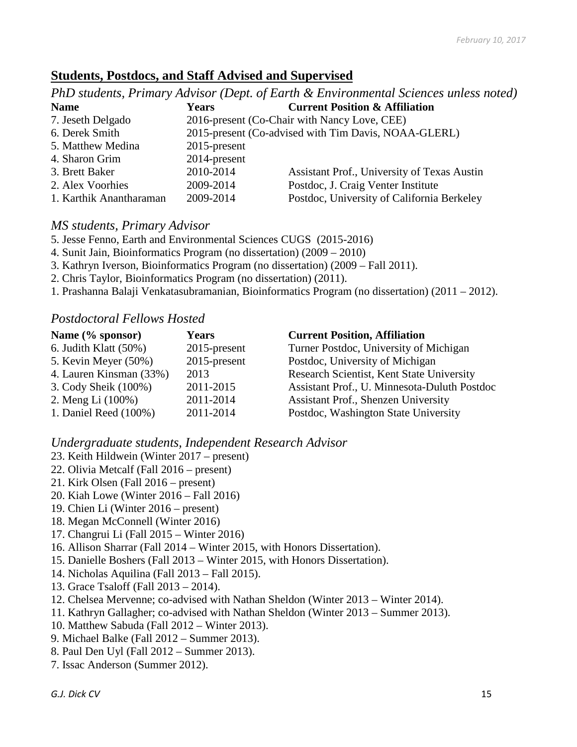## **Students, Postdocs, and Staff Advised and Supervised**

|                         |                 | PhD students, Primary Advisor (Dept. of Earth & Environmental Sciences unless noted) |
|-------------------------|-----------------|--------------------------------------------------------------------------------------|
| <b>Name</b>             | <b>Years</b>    | <b>Current Position &amp; Affiliation</b>                                            |
| 7. Jeseth Delgado       |                 | 2016-present (Co-Chair with Nancy Love, CEE)                                         |
| 6. Derek Smith          |                 | 2015-present (Co-advised with Tim Davis, NOAA-GLERL)                                 |
| 5. Matthew Medina       | $2015$ -present |                                                                                      |
| 4. Sharon Grim          | 2014-present    |                                                                                      |
| 3. Brett Baker          | 2010-2014       | Assistant Prof., University of Texas Austin                                          |
| 2. Alex Voorhies        | 2009-2014       | Postdoc, J. Craig Venter Institute                                                   |
| 1. Karthik Anantharaman | 2009-2014       | Postdoc, University of California Berkeley                                           |

## *MS students, Primary Advisor*

- 5. Jesse Fenno, Earth and Environmental Sciences CUGS (2015-2016)
- 4. Sunit Jain, Bioinformatics Program (no dissertation) (2009 2010)
- 3. Kathryn Iverson, Bioinformatics Program (no dissertation) (2009 Fall 2011).
- 2. Chris Taylor, Bioinformatics Program (no dissertation) (2011).
- 1. Prashanna Balaji Venkatasubramanian, Bioinformatics Program (no dissertation) (2011 2012).

## *Postdoctoral Fellows Hosted*

| Name (% sponsor)         | <b>Years</b>    | <b>Current Position, Affiliation</b>         |
|--------------------------|-----------------|----------------------------------------------|
| 6. Judith Klatt $(50\%)$ | $2015$ -present | Turner Postdoc, University of Michigan       |
| 5. Kevin Meyer $(50\%)$  | $2015$ -present | Postdoc, University of Michigan              |
| 4. Lauren Kinsman (33%)  | 2013            | Research Scientist, Kent State University    |
| 3. Cody Sheik (100%)     | 2011-2015       | Assistant Prof., U. Minnesota-Duluth Postdoc |
| 2. Meng Li (100%)        | 2011-2014       | Assistant Prof., Shenzen University          |
| 1. Daniel Reed (100%)    | 2011-2014       | Postdoc, Washington State University         |

*Undergraduate students, Independent Research Advisor*

- 23. Keith Hildwein (Winter 2017 present)
- 22. Olivia Metcalf (Fall 2016 present)
- 21. Kirk Olsen (Fall 2016 present)
- 20. Kiah Lowe (Winter 2016 Fall 2016)
- 19. Chien Li (Winter 2016 present)
- 18. Megan McConnell (Winter 2016)
- 17. Changrui Li (Fall 2015 Winter 2016)
- 16. Allison Sharrar (Fall 2014 Winter 2015, with Honors Dissertation).
- 15. Danielle Boshers (Fall 2013 Winter 2015, with Honors Dissertation).
- 14. Nicholas Aquilina (Fall 2013 Fall 2015).
- 13. Grace Tsaloff (Fall 2013 2014).
- 12. Chelsea Mervenne; co-advised with Nathan Sheldon (Winter 2013 Winter 2014).
- 11. Kathryn Gallagher; co-advised with Nathan Sheldon (Winter 2013 Summer 2013).
- 10. Matthew Sabuda (Fall 2012 Winter 2013).
- 9. Michael Balke (Fall 2012 Summer 2013).
- 8. Paul Den Uyl (Fall 2012 Summer 2013).
- 7. Issac Anderson (Summer 2012).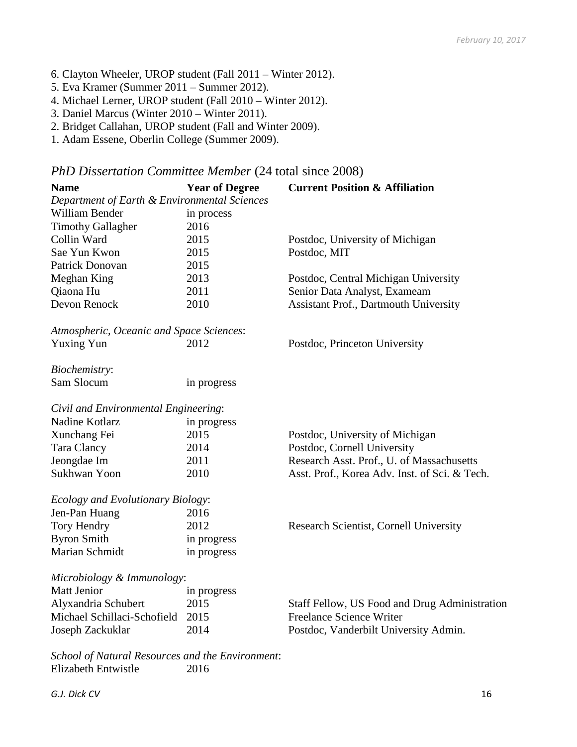- 6. Clayton Wheeler, UROP student (Fall 2011 Winter 2012).
- 5. Eva Kramer (Summer 2011 Summer 2012).
- 4. Michael Lerner, UROP student (Fall 2010 Winter 2012).
- 3. Daniel Marcus (Winter 2010 Winter 2011).
- 2. Bridget Callahan, UROP student (Fall and Winter 2009).
- 1. Adam Essene, Oberlin College (Summer 2009).

#### *PhD Dissertation Committee Member* (24 total since 2008)

| <b>Name</b>                                      | <b>Year of Degree</b> | <b>Current Position &amp; Affiliation</b>     |
|--------------------------------------------------|-----------------------|-----------------------------------------------|
| Department of Earth & Environmental Sciences     |                       |                                               |
| William Bender                                   | in process            |                                               |
| <b>Timothy Gallagher</b>                         | 2016                  |                                               |
| Collin Ward                                      | 2015                  | Postdoc, University of Michigan               |
| Sae Yun Kwon                                     | 2015                  | Postdoc, MIT                                  |
| Patrick Donovan                                  | 2015                  |                                               |
| Meghan King                                      | 2013                  | Postdoc, Central Michigan University          |
| Qiaona Hu                                        | 2011                  | Senior Data Analyst, Exameam                  |
| Devon Renock                                     | 2010                  | Assistant Prof., Dartmouth University         |
| Atmospheric, Oceanic and Space Sciences:         |                       |                                               |
| <b>Yuxing Yun</b>                                | 2012                  | Postdoc, Princeton University                 |
| Biochemistry:                                    |                       |                                               |
| Sam Slocum                                       | in progress           |                                               |
| Civil and Environmental Engineering:             |                       |                                               |
| Nadine Kotlarz                                   | in progress           |                                               |
| Xunchang Fei                                     | 2015                  | Postdoc, University of Michigan               |
| Tara Clancy                                      | 2014                  | Postdoc, Cornell University                   |
| Jeongdae Im                                      | 2011                  | Research Asst. Prof., U. of Massachusetts     |
| Sukhwan Yoon                                     | 2010                  | Asst. Prof., Korea Adv. Inst. of Sci. & Tech. |
| Ecology and Evolutionary Biology:                |                       |                                               |
| Jen-Pan Huang                                    | 2016                  |                                               |
| Tory Hendry                                      | 2012                  | Research Scientist, Cornell University        |
| <b>Byron Smith</b>                               | in progress           |                                               |
| Marian Schmidt                                   | in progress           |                                               |
| Microbiology & Immunology:                       |                       |                                               |
| <b>Matt Jenior</b>                               | in progress           |                                               |
| Alyxandria Schubert                              | 2015                  | Staff Fellow, US Food and Drug Administration |
| Michael Schillaci-Schofield                      | 2015                  | <b>Freelance Science Writer</b>               |
| Joseph Zackuklar                                 | 2014                  | Postdoc, Vanderbilt University Admin.         |
| School of Natural Resources and the Environment: |                       |                                               |
| Elizabeth Entwistle                              | 2016                  |                                               |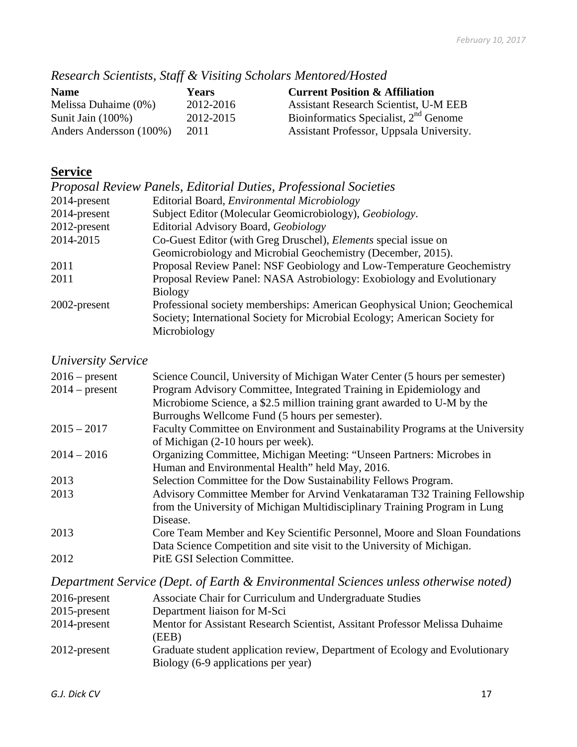| Research Scientists, Staff & Visiting Scholars Mentored/Hosted |  |  |  |  |
|----------------------------------------------------------------|--|--|--|--|
|----------------------------------------------------------------|--|--|--|--|

| <b>Name</b>             | Years     | <b>Current Position &amp; Affiliation</b>    |
|-------------------------|-----------|----------------------------------------------|
| Melissa Duhaime $(0\%)$ | 2012-2016 | <b>Assistant Research Scientist, U-M EEB</b> |
| Sunit Jain $(100\%)$    | 2012-2015 | Bioinformatics Specialist, $2nd$ Genome      |
| Anders Andersson (100%) | 2011      | Assistant Professor, Uppsala University.     |

# **Service**

|              | Proposal Review Panels, Editorial Duties, Professional Societies           |
|--------------|----------------------------------------------------------------------------|
| 2014-present | Editorial Board, Environmental Microbiology                                |
| 2014-present | Subject Editor (Molecular Geomicrobiology), Geobiology.                    |
| 2012-present | Editorial Advisory Board, Geobiology                                       |
| 2014-2015    | Co-Guest Editor (with Greg Druschel), <i>Elements</i> special issue on     |
|              | Geomicrobiology and Microbial Geochemistry (December, 2015).               |
| 2011         | Proposal Review Panel: NSF Geobiology and Low-Temperature Geochemistry     |
| 2011         | Proposal Review Panel: NASA Astrobiology: Exobiology and Evolutionary      |
|              | <b>Biology</b>                                                             |
| 2002-present | Professional society memberships: American Geophysical Union; Geochemical  |
|              | Society; International Society for Microbial Ecology; American Society for |
|              | Microbiology                                                               |

# *University Service*

| $2016$ – present<br>$2014$ – present | Science Council, University of Michigan Water Center (5 hours per semester)<br>Program Advisory Committee, Integrated Training in Epidemiology and<br>Microbiome Science, a \$2.5 million training grant awarded to U-M by the |
|--------------------------------------|--------------------------------------------------------------------------------------------------------------------------------------------------------------------------------------------------------------------------------|
|                                      | Burroughs Wellcome Fund (5 hours per semester).                                                                                                                                                                                |
| $2015 - 2017$                        | Faculty Committee on Environment and Sustainability Programs at the University                                                                                                                                                 |
|                                      | of Michigan (2-10 hours per week).                                                                                                                                                                                             |
| $2014 - 2016$                        | Organizing Committee, Michigan Meeting: "Unseen Partners: Microbes in                                                                                                                                                          |
|                                      | Human and Environmental Health" held May, 2016.                                                                                                                                                                                |
| 2013                                 | Selection Committee for the Dow Sustainability Fellows Program.                                                                                                                                                                |
| 2013                                 | Advisory Committee Member for Arvind Venkataraman T32 Training Fellowship                                                                                                                                                      |
|                                      | from the University of Michigan Multidisciplinary Training Program in Lung                                                                                                                                                     |
|                                      | Disease.                                                                                                                                                                                                                       |
| 2013                                 | Core Team Member and Key Scientific Personnel, Moore and Sloan Foundations                                                                                                                                                     |
|                                      | Data Science Competition and site visit to the University of Michigan.                                                                                                                                                         |
| 2012                                 | <b>PitE GSI Selection Committee.</b>                                                                                                                                                                                           |

*Department Service (Dept. of Earth & Environmental Sciences unless otherwise noted)*

| $2016$ -present<br>$2015$ -present | Associate Chair for Curriculum and Undergraduate Studies<br>Department liaison for M-Sci |
|------------------------------------|------------------------------------------------------------------------------------------|
| 2014-present                       | Mentor for Assistant Research Scientist, Assitant Professor Melissa Duhaime              |
| $2012$ -present                    | (EEB)<br>Graduate student application review, Department of Ecology and Evolutionary     |
|                                    | Biology (6-9 applications per year)                                                      |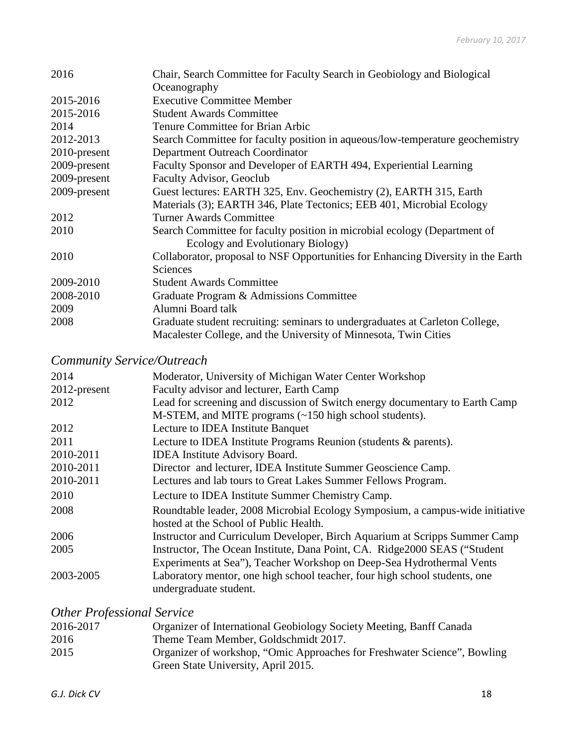| 2016         | Chair, Search Committee for Faculty Search in Geobiology and Biological          |
|--------------|----------------------------------------------------------------------------------|
|              | Oceanography                                                                     |
| 2015-2016    | <b>Executive Committee Member</b>                                                |
| 2015-2016    | <b>Student Awards Committee</b>                                                  |
| 2014         | Tenure Committee for Brian Arbic                                                 |
| 2012-2013    | Search Committee for faculty position in aqueous/low-temperature geochemistry    |
| 2010-present | Department Outreach Coordinator                                                  |
| 2009-present | Faculty Sponsor and Developer of EARTH 494, Experiential Learning                |
| 2009-present | <b>Faculty Advisor, Geoclub</b>                                                  |
| 2009-present | Guest lectures: EARTH 325, Env. Geochemistry (2), EARTH 315, Earth               |
|              | Materials (3); EARTH 346, Plate Tectonics; EEB 401, Microbial Ecology            |
| 2012         | <b>Turner Awards Committee</b>                                                   |
| 2010         | Search Committee for faculty position in microbial ecology (Department of        |
|              | Ecology and Evolutionary Biology)                                                |
| 2010         | Collaborator, proposal to NSF Opportunities for Enhancing Diversity in the Earth |
|              | <b>Sciences</b>                                                                  |
| 2009-2010    | <b>Student Awards Committee</b>                                                  |
| 2008-2010    | Graduate Program & Admissions Committee                                          |
| 2009         | Alumni Board talk                                                                |
| 2008         | Graduate student recruiting: seminars to undergraduates at Carleton College,     |
|              | Macalester College, and the University of Minnesota, Twin Cities                 |

# *Community Service/Outreach*

| 2014         | Moderator, University of Michigan Water Center Workshop                       |
|--------------|-------------------------------------------------------------------------------|
| 2012-present | Faculty advisor and lecturer, Earth Camp                                      |
| 2012         | Lead for screening and discussion of Switch energy documentary to Earth Camp  |
|              | M-STEM, and MITE programs (~150 high school students).                        |
| 2012         | Lecture to IDEA Institute Banquet                                             |
| 2011         | Lecture to IDEA Institute Programs Reunion (students & parents).              |
| 2010-2011    | <b>IDEA</b> Institute Advisory Board.                                         |
| 2010-2011    | Director and lecturer, IDEA Institute Summer Geoscience Camp.                 |
| 2010-2011    | Lectures and lab tours to Great Lakes Summer Fellows Program.                 |
| 2010         | Lecture to IDEA Institute Summer Chemistry Camp.                              |
| 2008         | Roundtable leader, 2008 Microbial Ecology Symposium, a campus-wide initiative |
|              | hosted at the School of Public Health.                                        |
| 2006         | Instructor and Curriculum Developer, Birch Aquarium at Scripps Summer Camp    |
| 2005         | Instructor, The Ocean Institute, Dana Point, CA. Ridge2000 SEAS ("Student"    |
|              | Experiments at Sea"), Teacher Workshop on Deep-Sea Hydrothermal Vents         |
| 2003-2005    | Laboratory mentor, one high school teacher, four high school students, one    |
|              | undergraduate student.                                                        |

# *Other Professional Service*

| 2016-2017 | Organizer of International Geobiology Society Meeting, Banff Canada      |
|-----------|--------------------------------------------------------------------------|
| 2016      | Theme Team Member, Goldschmidt 2017.                                     |
| 2015      | Organizer of workshop, "Omic Approaches for Freshwater Science", Bowling |
|           | Green State University, April 2015.                                      |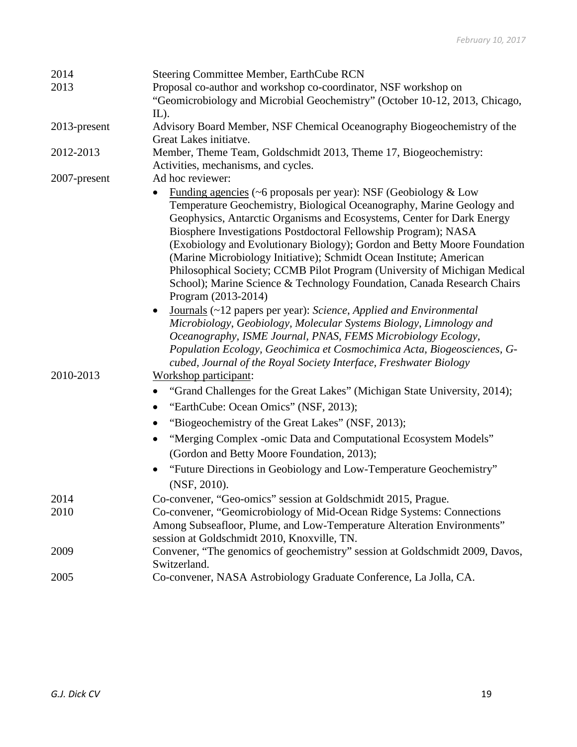| 2014            | Steering Committee Member, EarthCube RCN                                                                                                                                                                                                                                                                                                                                                                                                                                                                                                                                                                                                                                                                                                                                                                                                                                                                                                                                                                       |
|-----------------|----------------------------------------------------------------------------------------------------------------------------------------------------------------------------------------------------------------------------------------------------------------------------------------------------------------------------------------------------------------------------------------------------------------------------------------------------------------------------------------------------------------------------------------------------------------------------------------------------------------------------------------------------------------------------------------------------------------------------------------------------------------------------------------------------------------------------------------------------------------------------------------------------------------------------------------------------------------------------------------------------------------|
| 2013            | Proposal co-author and workshop co-coordinator, NSF workshop on<br>"Geomicrobiology and Microbial Geochemistry" (October 10-12, 2013, Chicago,                                                                                                                                                                                                                                                                                                                                                                                                                                                                                                                                                                                                                                                                                                                                                                                                                                                                 |
|                 | $IL$ ).                                                                                                                                                                                                                                                                                                                                                                                                                                                                                                                                                                                                                                                                                                                                                                                                                                                                                                                                                                                                        |
| $2013$ -present | Advisory Board Member, NSF Chemical Oceanography Biogeochemistry of the                                                                                                                                                                                                                                                                                                                                                                                                                                                                                                                                                                                                                                                                                                                                                                                                                                                                                                                                        |
|                 | Great Lakes initiatve.                                                                                                                                                                                                                                                                                                                                                                                                                                                                                                                                                                                                                                                                                                                                                                                                                                                                                                                                                                                         |
| 2012-2013       | Member, Theme Team, Goldschmidt 2013, Theme 17, Biogeochemistry:<br>Activities, mechanisms, and cycles.                                                                                                                                                                                                                                                                                                                                                                                                                                                                                                                                                                                                                                                                                                                                                                                                                                                                                                        |
| 2007-present    | Ad hoc reviewer:                                                                                                                                                                                                                                                                                                                                                                                                                                                                                                                                                                                                                                                                                                                                                                                                                                                                                                                                                                                               |
|                 | <u>Funding agencies</u> ( $\sim$ 6 proposals per year): NSF (Geobiology & Low<br>Temperature Geochemistry, Biological Oceanography, Marine Geology and<br>Geophysics, Antarctic Organisms and Ecosystems, Center for Dark Energy<br>Biosphere Investigations Postdoctoral Fellowship Program); NASA<br>(Exobiology and Evolutionary Biology); Gordon and Betty Moore Foundation<br>(Marine Microbiology Initiative); Schmidt Ocean Institute; American<br>Philosophical Society; CCMB Pilot Program (University of Michigan Medical<br>School); Marine Science & Technology Foundation, Canada Research Chairs<br>Program (2013-2014)<br>Journals (~12 papers per year): Science, Applied and Environmental<br>$\bullet$<br>Microbiology, Geobiology, Molecular Systems Biology, Limnology and<br>Oceanography, ISME Journal, PNAS, FEMS Microbiology Ecology,<br>Population Ecology, Geochimica et Cosmochimica Acta, Biogeosciences, G-<br>cubed, Journal of the Royal Society Interface, Freshwater Biology |
| 2010-2013       | Workshop participant:                                                                                                                                                                                                                                                                                                                                                                                                                                                                                                                                                                                                                                                                                                                                                                                                                                                                                                                                                                                          |
|                 | "Grand Challenges for the Great Lakes" (Michigan State University, 2014);                                                                                                                                                                                                                                                                                                                                                                                                                                                                                                                                                                                                                                                                                                                                                                                                                                                                                                                                      |
|                 | "EarthCube: Ocean Omics" (NSF, 2013);                                                                                                                                                                                                                                                                                                                                                                                                                                                                                                                                                                                                                                                                                                                                                                                                                                                                                                                                                                          |
|                 | "Biogeochemistry of the Great Lakes" (NSF, 2013);                                                                                                                                                                                                                                                                                                                                                                                                                                                                                                                                                                                                                                                                                                                                                                                                                                                                                                                                                              |
|                 | "Merging Complex -omic Data and Computational Ecosystem Models"                                                                                                                                                                                                                                                                                                                                                                                                                                                                                                                                                                                                                                                                                                                                                                                                                                                                                                                                                |
|                 | (Gordon and Betty Moore Foundation, 2013);                                                                                                                                                                                                                                                                                                                                                                                                                                                                                                                                                                                                                                                                                                                                                                                                                                                                                                                                                                     |
|                 | "Future Directions in Geobiology and Low-Temperature Geochemistry"                                                                                                                                                                                                                                                                                                                                                                                                                                                                                                                                                                                                                                                                                                                                                                                                                                                                                                                                             |
|                 | (NSF, 2010).                                                                                                                                                                                                                                                                                                                                                                                                                                                                                                                                                                                                                                                                                                                                                                                                                                                                                                                                                                                                   |
| 2014            | Co-convener, "Geo-omics" session at Goldschmidt 2015, Prague.                                                                                                                                                                                                                                                                                                                                                                                                                                                                                                                                                                                                                                                                                                                                                                                                                                                                                                                                                  |
| 2010            | Co-convener, "Geomicrobiology of Mid-Ocean Ridge Systems: Connections<br>Among Subseafloor, Plume, and Low-Temperature Alteration Environments"<br>session at Goldschmidt 2010, Knoxville, TN.                                                                                                                                                                                                                                                                                                                                                                                                                                                                                                                                                                                                                                                                                                                                                                                                                 |
| 2009            | Convener, "The genomics of geochemistry" session at Goldschmidt 2009, Davos,<br>Switzerland.                                                                                                                                                                                                                                                                                                                                                                                                                                                                                                                                                                                                                                                                                                                                                                                                                                                                                                                   |
| 2005            | Co-convener, NASA Astrobiology Graduate Conference, La Jolla, CA.                                                                                                                                                                                                                                                                                                                                                                                                                                                                                                                                                                                                                                                                                                                                                                                                                                                                                                                                              |